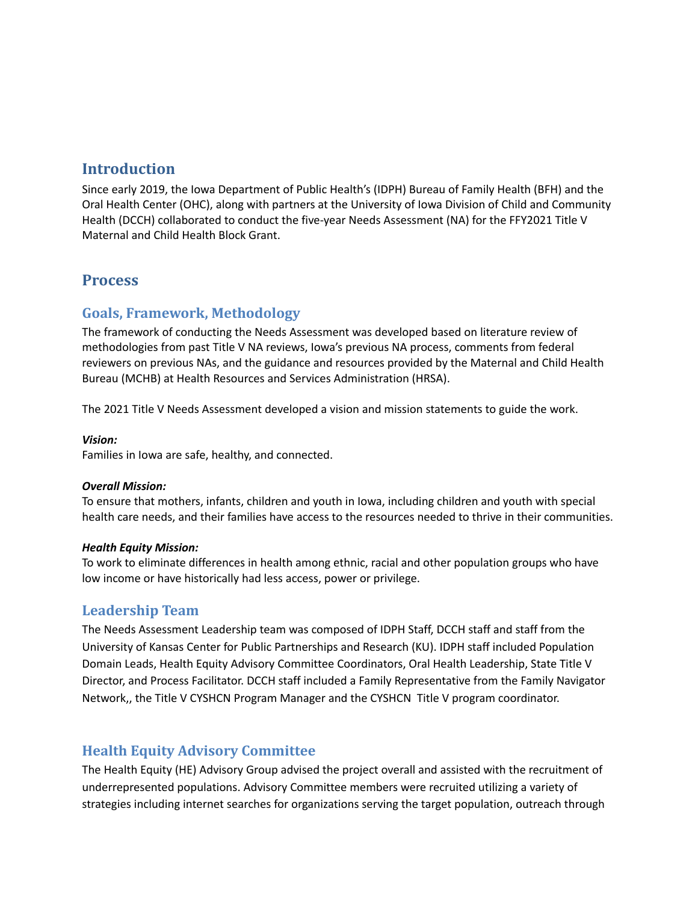# **Introduction**

Since early 2019, the Iowa Department of Public Health's (IDPH) Bureau of Family Health (BFH) and the Oral Health Center (OHC), along with partners at the University of Iowa Division of Child and Community Health (DCCH) collaborated to conduct the five-year Needs Assessment (NA) for the FFY2021 Title V Maternal and Child Health Block Grant.

# **Process**

# **Goals, Framework, Methodology**

The framework of conducting the Needs Assessment was developed based on literature review of methodologies from past Title V NA reviews, Iowa's previous NA process, comments from federal reviewers on previous NAs, and the guidance and resources provided by the Maternal and Child Health Bureau (MCHB) at Health Resources and Services Administration (HRSA).

The 2021 Title V Needs Assessment developed a vision and mission statements to guide the work.

### *Vision:*

Families in Iowa are safe, healthy, and connected.

### *Overall Mission:*

To ensure that mothers, infants, children and youth in Iowa, including children and youth with special health care needs, and their families have access to the resources needed to thrive in their communities.

### *Health Equity Mission:*

To work to eliminate differences in health among ethnic, racial and other population groups who have low income or have historically had less access, power or privilege.

## **Leadership Team**

The Needs Assessment Leadership team was composed of IDPH Staff, DCCH staff and staff from the University of Kansas Center for Public Partnerships and Research (KU). IDPH staff included Population Domain Leads, Health Equity Advisory Committee Coordinators, Oral Health Leadership, State Title V Director, and Process Facilitator. DCCH staff included a Family Representative from the Family Navigator Network,, the Title V CYSHCN Program Manager and the CYSHCN Title V program coordinator.

# **Health Equity Advisory Committee**

The Health Equity (HE) Advisory Group advised the project overall and assisted with the recruitment of underrepresented populations. Advisory Committee members were recruited utilizing a variety of strategies including internet searches for organizations serving the target population, outreach through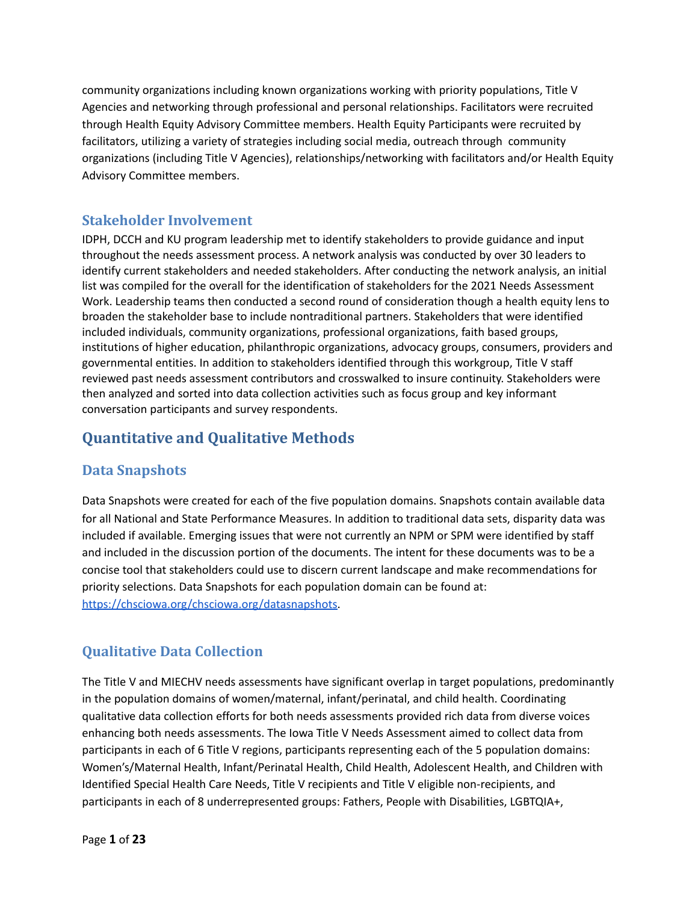community organizations including known organizations working with priority populations, Title V Agencies and networking through professional and personal relationships. Facilitators were recruited through Health Equity Advisory Committee members. Health Equity Participants were recruited by facilitators, utilizing a variety of strategies including social media, outreach through community organizations (including Title V Agencies), relationships/networking with facilitators and/or Health Equity Advisory Committee members.

# **Stakeholder Involvement**

IDPH, DCCH and KU program leadership met to identify stakeholders to provide guidance and input throughout the needs assessment process. A network analysis was conducted by over 30 leaders to identify current stakeholders and needed stakeholders. After conducting the network analysis, an initial list was compiled for the overall for the identification of stakeholders for the 2021 Needs Assessment Work. Leadership teams then conducted a second round of consideration though a health equity lens to broaden the stakeholder base to include nontraditional partners. Stakeholders that were identified included individuals, community organizations, professional organizations, faith based groups, institutions of higher education, philanthropic organizations, advocacy groups, consumers, providers and governmental entities. In addition to stakeholders identified through this workgroup, Title V staff reviewed past needs assessment contributors and crosswalked to insure continuity. Stakeholders were then analyzed and sorted into data collection activities such as focus group and key informant conversation participants and survey respondents.

# **Quantitative and Qualitative Methods**

# **Data Snapshots**

Data Snapshots were created for each of the five population domains. Snapshots contain available data for all National and State Performance Measures. In addition to traditional data sets, disparity data was included if available. Emerging issues that were not currently an NPM or SPM were identified by staff and included in the discussion portion of the documents. The intent for these documents was to be a concise tool that stakeholders could use to discern current landscape and make recommendations for priority selections. Data Snapshots for each population domain can be found at: <https://chsciowa.org/chsciowa.org/datasnapshots>.

# **Qualitative Data Collection**

The Title V and MIECHV needs assessments have significant overlap in target populations, predominantly in the population domains of women/maternal, infant/perinatal, and child health. Coordinating qualitative data collection efforts for both needs assessments provided rich data from diverse voices enhancing both needs assessments. The Iowa Title V Needs Assessment aimed to collect data from participants in each of 6 Title V regions, participants representing each of the 5 population domains: Women's/Maternal Health, Infant/Perinatal Health, Child Health, Adolescent Health, and Children with Identified Special Health Care Needs, Title V recipients and Title V eligible non-recipients, and participants in each of 8 underrepresented groups: Fathers, People with Disabilities, LGBTQIA+,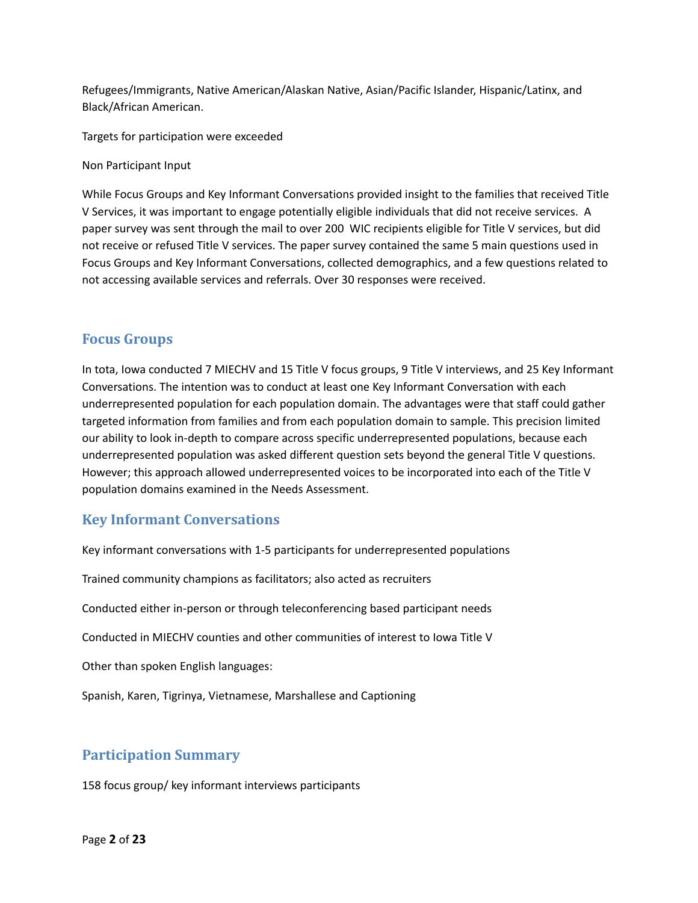Refugees/Immigrants, Native American/Alaskan Native, Asian/Pacific Islander, Hispanic/Latinx, and Black/African American.

Targets for participation were exceeded

Non Participant Input

While Focus Groups and Key Informant Conversations provided insight to the families that received Title V Services, it was important to engage potentially eligible individuals that did not receive services. A paper survey was sent through the mail to over 200 WIC recipients eligible for Title V services, but did not receive or refused Title V services. The paper survey contained the same 5 main questions used in Focus Groups and Key Informant Conversations, collected demographics, and a few questions related to not accessing available services and referrals. Over 30 responses were received.

## **Focus Groups**

In tota, Iowa conducted 7 MIECHV and 15 Title V focus groups, 9 Title V interviews, and 25 Key Informant Conversations. The intention was to conduct at least one Key Informant Conversation with each underrepresented population for each population domain. The advantages were that staff could gather targeted information from families and from each population domain to sample. This precision limited our ability to look in-depth to compare across specific underrepresented populations, because each underrepresented population was asked different question sets beyond the general Title V questions. However; this approach allowed underrepresented voices to be incorporated into each of the Title V population domains examined in the Needs Assessment.

## **Key Informant Conversations**

Key informant conversations with 1-5 participants for underrepresented populations

Trained community champions as facilitators; also acted as recruiters

Conducted either in-person or through teleconferencing based participant needs

Conducted in MIECHV counties and other communities of interest to Iowa Title V

Other than spoken English languages:

Spanish, Karen, Tigrinya, Vietnamese, Marshallese and Captioning

## **Participation Summary**

158 focus group/ key informant interviews participants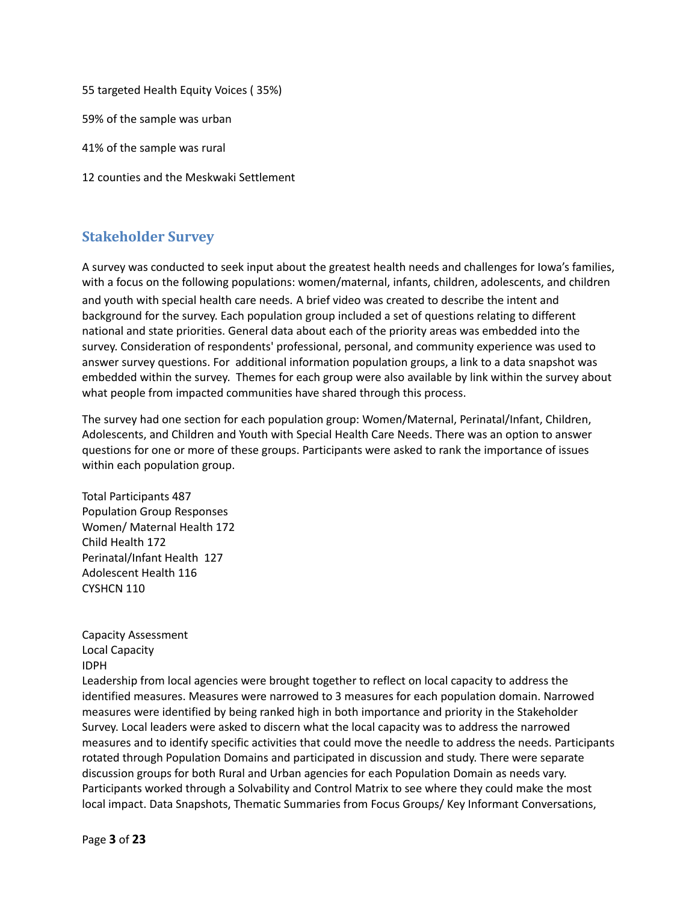55 targeted Health Equity Voices ( 35%) 59% of the sample was urban 41% of the sample was rural 12 counties and the Meskwaki Settlement

# **Stakeholder Survey**

A survey was conducted to seek input about the greatest health needs and challenges for Iowa's families, with a focus on the following populations: women/maternal, infants, children, adolescents, and children and youth with special health care needs. A brief video was created to describe the intent and background for the survey. Each population group included a set of questions relating to different national and state priorities. General data about each of the priority areas was embedded into the survey. Consideration of respondents' professional, personal, and community experience was used to answer survey questions. For additional information population groups, a link to a data snapshot was embedded within the survey. Themes for each group were also available by link within the survey about what people from impacted communities have shared through this process.

The survey had one section for each population group: Women/Maternal, Perinatal/Infant, Children, Adolescents, and Children and Youth with Special Health Care Needs. There was an option to answer questions for one or more of these groups. Participants were asked to rank the importance of issues within each population group.

Total Participants 487 Population Group Responses Women/ Maternal Health 172 Child Health 172 Perinatal/Infant Health 127 Adolescent Health 116 CYSHCN 110

Capacity Assessment Local Capacity IDPH

Leadership from local agencies were brought together to reflect on local capacity to address the identified measures. Measures were narrowed to 3 measures for each population domain. Narrowed measures were identified by being ranked high in both importance and priority in the Stakeholder Survey. Local leaders were asked to discern what the local capacity was to address the narrowed measures and to identify specific activities that could move the needle to address the needs. Participants rotated through Population Domains and participated in discussion and study. There were separate discussion groups for both Rural and Urban agencies for each Population Domain as needs vary. Participants worked through a Solvability and Control Matrix to see where they could make the most local impact. Data Snapshots, Thematic Summaries from Focus Groups/ Key Informant Conversations,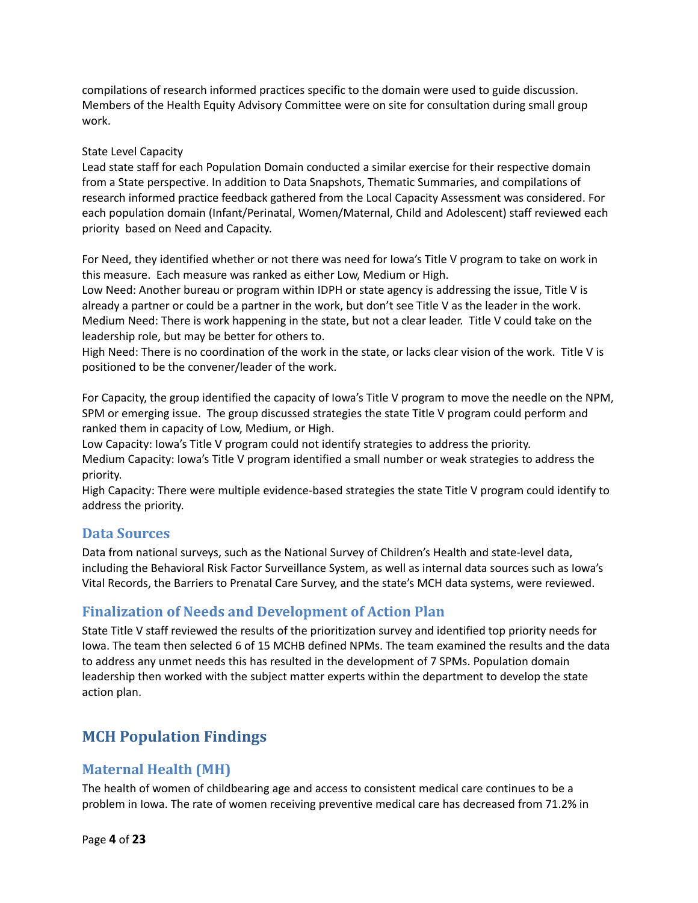compilations of research informed practices specific to the domain were used to guide discussion. Members of the Health Equity Advisory Committee were on site for consultation during small group work.

### State Level Capacity

Lead state staff for each Population Domain conducted a similar exercise for their respective domain from a State perspective. In addition to Data Snapshots, Thematic Summaries, and compilations of research informed practice feedback gathered from the Local Capacity Assessment was considered. For each population domain (Infant/Perinatal, Women/Maternal, Child and Adolescent) staff reviewed each priority based on Need and Capacity.

For Need, they identified whether or not there was need for Iowa's Title V program to take on work in this measure. Each measure was ranked as either Low, Medium or High.

Low Need: Another bureau or program within IDPH or state agency is addressing the issue, Title V is already a partner or could be a partner in the work, but don't see Title V as the leader in the work. Medium Need: There is work happening in the state, but not a clear leader. Title V could take on the leadership role, but may be better for others to.

High Need: There is no coordination of the work in the state, or lacks clear vision of the work. Title V is positioned to be the convener/leader of the work.

For Capacity, the group identified the capacity of Iowa's Title V program to move the needle on the NPM, SPM or emerging issue. The group discussed strategies the state Title V program could perform and ranked them in capacity of Low, Medium, or High.

Low Capacity: Iowa's Title V program could not identify strategies to address the priority. Medium Capacity: Iowa's Title V program identified a small number or weak strategies to address the priority.

High Capacity: There were multiple evidence-based strategies the state Title V program could identify to address the priority.

## **Data Sources**

Data from national surveys, such as the National Survey of Children's Health and state-level data, including the Behavioral Risk Factor Surveillance System, as well as internal data sources such as Iowa's Vital Records, the Barriers to Prenatal Care Survey, and the state's MCH data systems, were reviewed.

# **Finalization of Needs and Development of Action Plan**

State Title V staff reviewed the results of the prioritization survey and identified top priority needs for Iowa. The team then selected 6 of 15 MCHB defined NPMs. The team examined the results and the data to address any unmet needs this has resulted in the development of 7 SPMs. Population domain leadership then worked with the subject matter experts within the department to develop the state action plan.

# **MCH Population Findings**

## **Maternal Health (MH)**

The health of women of childbearing age and access to consistent medical care continues to be a problem in Iowa. The rate of women receiving preventive medical care has decreased from 71.2% in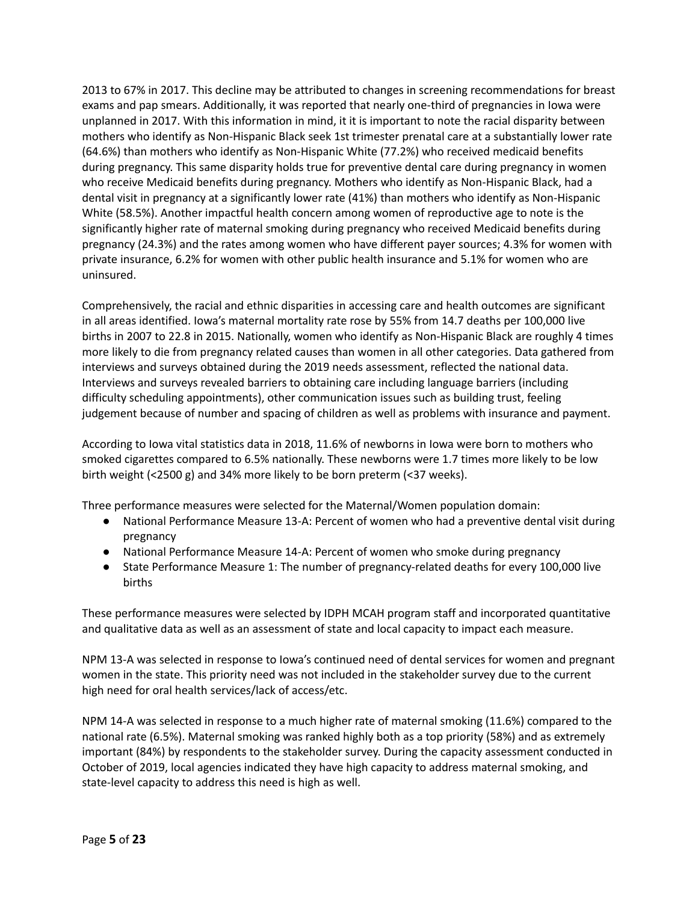2013 to 67% in 2017. This decline may be attributed to changes in screening recommendations for breast exams and pap smears. Additionally, it was reported that nearly one-third of pregnancies in Iowa were unplanned in 2017. With this information in mind, it it is important to note the racial disparity between mothers who identify as Non-Hispanic Black seek 1st trimester prenatal care at a substantially lower rate (64.6%) than mothers who identify as Non-Hispanic White (77.2%) who received medicaid benefits during pregnancy. This same disparity holds true for preventive dental care during pregnancy in women who receive Medicaid benefits during pregnancy. Mothers who identify as Non-Hispanic Black, had a dental visit in pregnancy at a significantly lower rate (41%) than mothers who identify as Non-Hispanic White (58.5%). Another impactful health concern among women of reproductive age to note is the significantly higher rate of maternal smoking during pregnancy who received Medicaid benefits during pregnancy (24.3%) and the rates among women who have different payer sources; 4.3% for women with private insurance, 6.2% for women with other public health insurance and 5.1% for women who are uninsured.

Comprehensively, the racial and ethnic disparities in accessing care and health outcomes are significant in all areas identified. Iowa's maternal mortality rate rose by 55% from 14.7 deaths per 100,000 live births in 2007 to 22.8 in 2015. Nationally, women who identify as Non-Hispanic Black are roughly 4 times more likely to die from pregnancy related causes than women in all other categories. Data gathered from interviews and surveys obtained during the 2019 needs assessment, reflected the national data. Interviews and surveys revealed barriers to obtaining care including language barriers (including difficulty scheduling appointments), other communication issues such as building trust, feeling judgement because of number and spacing of children as well as problems with insurance and payment.

According to Iowa vital statistics data in 2018, 11.6% of newborns in Iowa were born to mothers who smoked cigarettes compared to 6.5% nationally. These newborns were 1.7 times more likely to be low birth weight (<2500 g) and 34% more likely to be born preterm (<37 weeks).

Three performance measures were selected for the Maternal/Women population domain:

- National Performance Measure 13-A: Percent of women who had a preventive dental visit during pregnancy
- National Performance Measure 14-A: Percent of women who smoke during pregnancy
- State Performance Measure 1: The number of pregnancy-related deaths for every 100,000 live births

These performance measures were selected by IDPH MCAH program staff and incorporated quantitative and qualitative data as well as an assessment of state and local capacity to impact each measure.

NPM 13-A was selected in response to Iowa's continued need of dental services for women and pregnant women in the state. This priority need was not included in the stakeholder survey due to the current high need for oral health services/lack of access/etc.

NPM 14-A was selected in response to a much higher rate of maternal smoking (11.6%) compared to the national rate (6.5%). Maternal smoking was ranked highly both as a top priority (58%) and as extremely important (84%) by respondents to the stakeholder survey. During the capacity assessment conducted in October of 2019, local agencies indicated they have high capacity to address maternal smoking, and state-level capacity to address this need is high as well.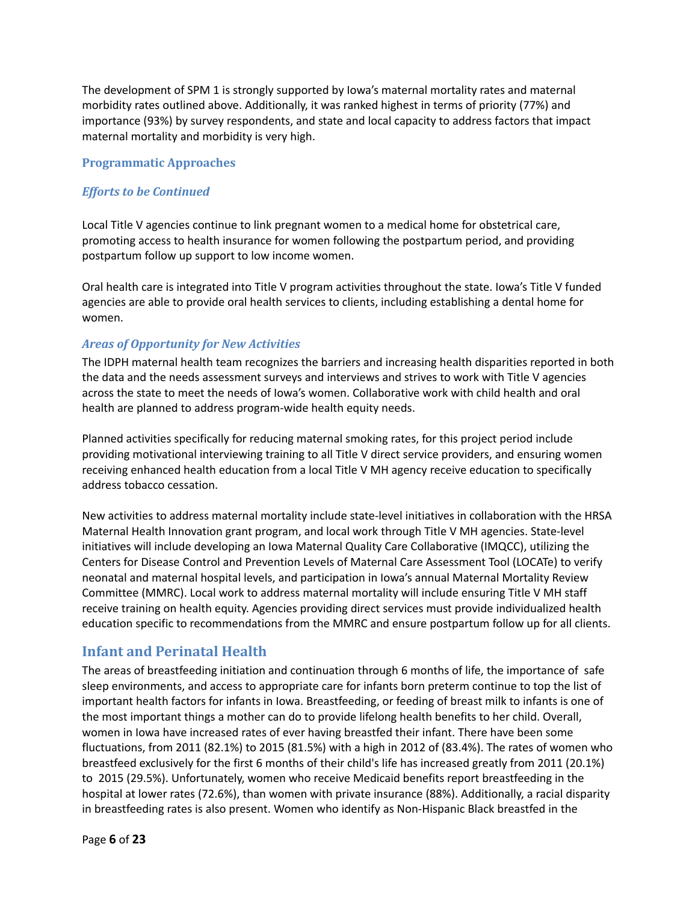The development of SPM 1 is strongly supported by Iowa's maternal mortality rates and maternal morbidity rates outlined above. Additionally, it was ranked highest in terms of priority (77%) and importance (93%) by survey respondents, and state and local capacity to address factors that impact maternal mortality and morbidity is very high.

### **Programmatic Approaches**

### *Efforts to be Continued*

Local Title V agencies continue to link pregnant women to a medical home for obstetrical care, promoting access to health insurance for women following the postpartum period, and providing postpartum follow up support to low income women.

Oral health care is integrated into Title V program activities throughout the state. Iowa's Title V funded agencies are able to provide oral health services to clients, including establishing a dental home for women.

### *Areas of Opportunity for New Activities*

The IDPH maternal health team recognizes the barriers and increasing health disparities reported in both the data and the needs assessment surveys and interviews and strives to work with Title V agencies across the state to meet the needs of Iowa's women. Collaborative work with child health and oral health are planned to address program-wide health equity needs.

Planned activities specifically for reducing maternal smoking rates, for this project period include providing motivational interviewing training to all Title V direct service providers, and ensuring women receiving enhanced health education from a local Title V MH agency receive education to specifically address tobacco cessation.

New activities to address maternal mortality include state-level initiatives in collaboration with the HRSA Maternal Health Innovation grant program, and local work through Title V MH agencies. State-level initiatives will include developing an Iowa Maternal Quality Care Collaborative (IMQCC), utilizing the Centers for Disease Control and Prevention Levels of Maternal Care Assessment Tool (LOCATe) to verify neonatal and maternal hospital levels, and participation in Iowa's annual Maternal Mortality Review Committee (MMRC). Local work to address maternal mortality will include ensuring Title V MH staff receive training on health equity. Agencies providing direct services must provide individualized health education specific to recommendations from the MMRC and ensure postpartum follow up for all clients.

## **Infant and Perinatal Health**

The areas of breastfeeding initiation and continuation through 6 months of life, the importance of safe sleep environments, and access to appropriate care for infants born preterm continue to top the list of important health factors for infants in Iowa. Breastfeeding, or feeding of breast milk to infants is one of the most important things a mother can do to provide lifelong health benefits to her child. Overall, women in Iowa have increased rates of ever having breastfed their infant. There have been some fluctuations, from 2011 (82.1%) to 2015 (81.5%) with a high in 2012 of (83.4%). The rates of women who breastfeed exclusively for the first 6 months of their child's life has increased greatly from 2011 (20.1%) to 2015 (29.5%). Unfortunately, women who receive Medicaid benefits report breastfeeding in the hospital at lower rates (72.6%), than women with private insurance (88%). Additionally, a racial disparity in breastfeeding rates is also present. Women who identify as Non-Hispanic Black breastfed in the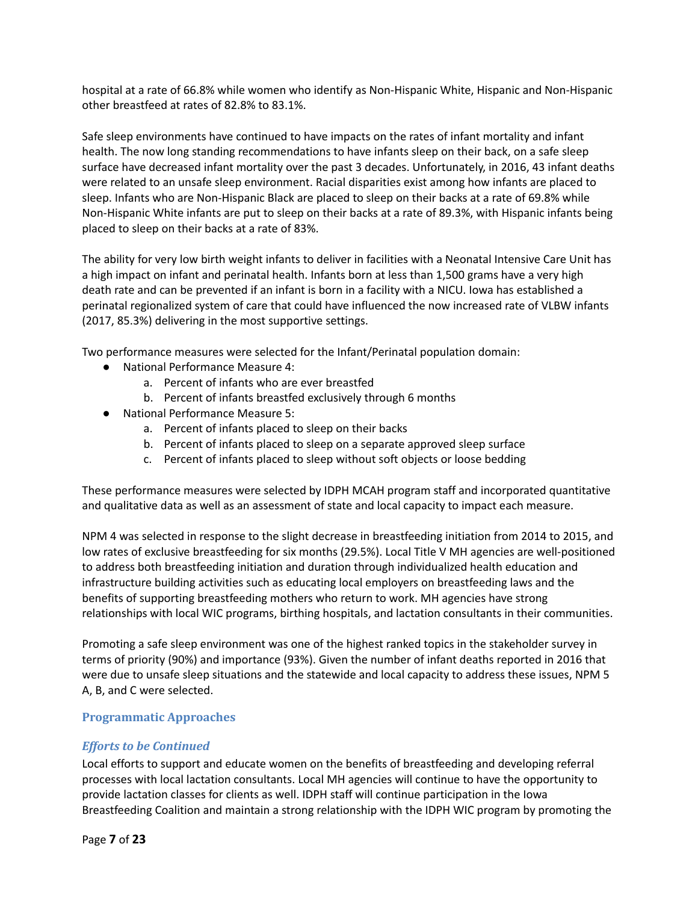hospital at a rate of 66.8% while women who identify as Non-Hispanic White, Hispanic and Non-Hispanic other breastfeed at rates of 82.8% to 83.1%.

Safe sleep environments have continued to have impacts on the rates of infant mortality and infant health. The now long standing recommendations to have infants sleep on their back, on a safe sleep surface have decreased infant mortality over the past 3 decades. Unfortunately, in 2016, 43 infant deaths were related to an unsafe sleep environment. Racial disparities exist among how infants are placed to sleep. Infants who are Non-Hispanic Black are placed to sleep on their backs at a rate of 69.8% while Non-Hispanic White infants are put to sleep on their backs at a rate of 89.3%, with Hispanic infants being placed to sleep on their backs at a rate of 83%.

The ability for very low birth weight infants to deliver in facilities with a Neonatal Intensive Care Unit has a high impact on infant and perinatal health. Infants born at less than 1,500 grams have a very high death rate and can be prevented if an infant is born in a facility with a NICU. Iowa has established a perinatal regionalized system of care that could have influenced the now increased rate of VLBW infants (2017, 85.3%) delivering in the most supportive settings.

Two performance measures were selected for the Infant/Perinatal population domain:

- National Performance Measure 4:
	- a. Percent of infants who are ever breastfed
	- b. Percent of infants breastfed exclusively through 6 months
- National Performance Measure 5:
	- a. Percent of infants placed to sleep on their backs
	- b. Percent of infants placed to sleep on a separate approved sleep surface
	- c. Percent of infants placed to sleep without soft objects or loose bedding

These performance measures were selected by IDPH MCAH program staff and incorporated quantitative and qualitative data as well as an assessment of state and local capacity to impact each measure.

NPM 4 was selected in response to the slight decrease in breastfeeding initiation from 2014 to 2015, and low rates of exclusive breastfeeding for six months (29.5%). Local Title V MH agencies are well-positioned to address both breastfeeding initiation and duration through individualized health education and infrastructure building activities such as educating local employers on breastfeeding laws and the benefits of supporting breastfeeding mothers who return to work. MH agencies have strong relationships with local WIC programs, birthing hospitals, and lactation consultants in their communities.

Promoting a safe sleep environment was one of the highest ranked topics in the stakeholder survey in terms of priority (90%) and importance (93%). Given the number of infant deaths reported in 2016 that were due to unsafe sleep situations and the statewide and local capacity to address these issues, NPM 5 A, B, and C were selected.

### **Programmatic Approaches**

### *Efforts to be Continued*

Local efforts to support and educate women on the benefits of breastfeeding and developing referral processes with local lactation consultants. Local MH agencies will continue to have the opportunity to provide lactation classes for clients as well. IDPH staff will continue participation in the Iowa Breastfeeding Coalition and maintain a strong relationship with the IDPH WIC program by promoting the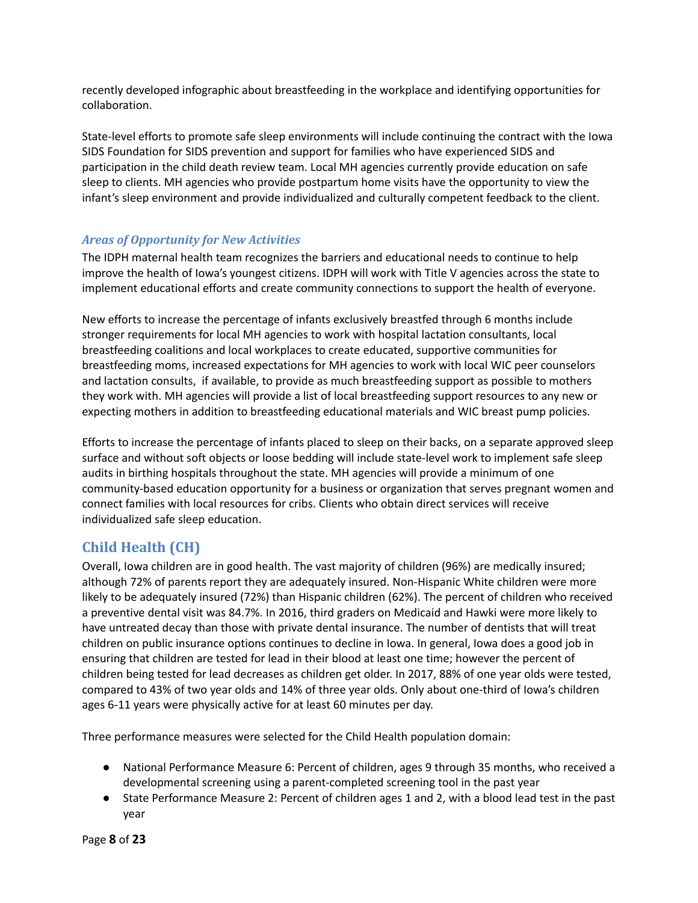recently developed infographic about breastfeeding in the workplace and identifying opportunities for collaboration.

State-level efforts to promote safe sleep environments will include continuing the contract with the Iowa SIDS Foundation for SIDS prevention and support for families who have experienced SIDS and participation in the child death review team. Local MH agencies currently provide education on safe sleep to clients. MH agencies who provide postpartum home visits have the opportunity to view the infant's sleep environment and provide individualized and culturally competent feedback to the client.

## *Areas of Opportunity for New Activities*

The IDPH maternal health team recognizes the barriers and educational needs to continue to help improve the health of Iowa's youngest citizens. IDPH will work with Title V agencies across the state to implement educational efforts and create community connections to support the health of everyone.

New efforts to increase the percentage of infants exclusively breastfed through 6 months include stronger requirements for local MH agencies to work with hospital lactation consultants, local breastfeeding coalitions and local workplaces to create educated, supportive communities for breastfeeding moms, increased expectations for MH agencies to work with local WIC peer counselors and lactation consults, if available, to provide as much breastfeeding support as possible to mothers they work with. MH agencies will provide a list of local breastfeeding support resources to any new or expecting mothers in addition to breastfeeding educational materials and WIC breast pump policies.

Efforts to increase the percentage of infants placed to sleep on their backs, on a separate approved sleep surface and without soft objects or loose bedding will include state-level work to implement safe sleep audits in birthing hospitals throughout the state. MH agencies will provide a minimum of one community-based education opportunity for a business or organization that serves pregnant women and connect families with local resources for cribs. Clients who obtain direct services will receive individualized safe sleep education.

# **Child Health (CH)**

Overall, Iowa children are in good health. The vast majority of children (96%) are medically insured; although 72% of parents report they are adequately insured. Non-Hispanic White children were more likely to be adequately insured (72%) than Hispanic children (62%). The percent of children who received a preventive dental visit was 84.7%. In 2016, third graders on Medicaid and Hawki were more likely to have untreated decay than those with private dental insurance. The number of dentists that will treat children on public insurance options continues to decline in Iowa. In general, Iowa does a good job in ensuring that children are tested for lead in their blood at least one time; however the percent of children being tested for lead decreases as children get older. In 2017, 88% of one year olds were tested, compared to 43% of two year olds and 14% of three year olds. Only about one-third of Iowa's children ages 6-11 years were physically active for at least 60 minutes per day.

Three performance measures were selected for the Child Health population domain:

- National Performance Measure 6: Percent of children, ages 9 through 35 months, who received a developmental screening using a parent-completed screening tool in the past year
- State Performance Measure 2: Percent of children ages 1 and 2, with a blood lead test in the past year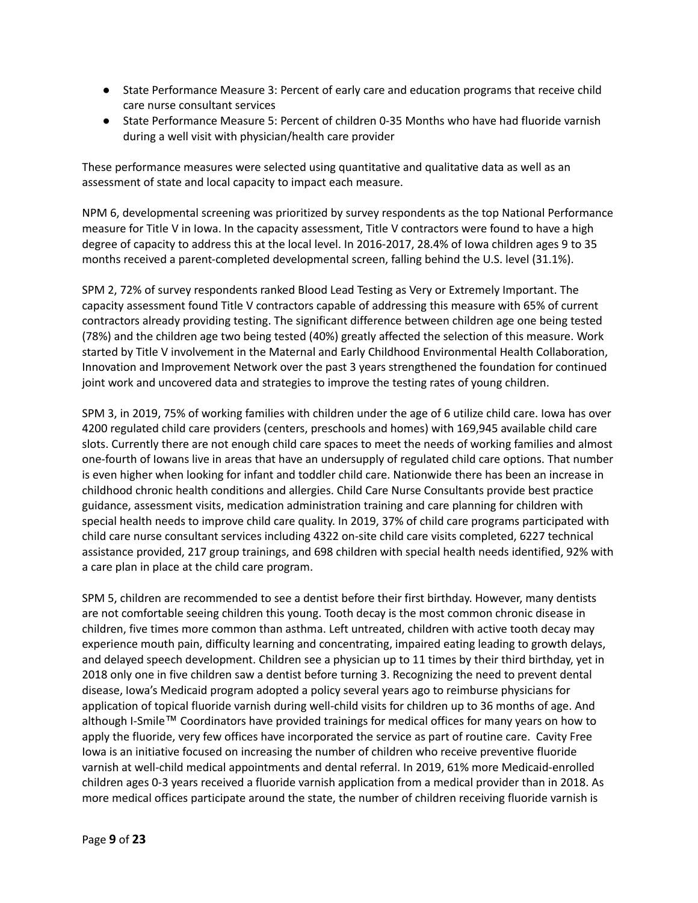- State Performance Measure 3: Percent of early care and education programs that receive child care nurse consultant services
- State Performance Measure 5: Percent of children 0-35 Months who have had fluoride varnish during a well visit with physician/health care provider

These performance measures were selected using quantitative and qualitative data as well as an assessment of state and local capacity to impact each measure.

NPM 6, developmental screening was prioritized by survey respondents as the top National Performance measure for Title V in Iowa. In the capacity assessment, Title V contractors were found to have a high degree of capacity to address this at the local level. In 2016-2017, 28.4% of Iowa children ages 9 to 35 months received a parent-completed developmental screen, falling behind the U.S. level (31.1%).

SPM 2, 72% of survey respondents ranked Blood Lead Testing as Very or Extremely Important. The capacity assessment found Title V contractors capable of addressing this measure with 65% of current contractors already providing testing. The significant difference between children age one being tested (78%) and the children age two being tested (40%) greatly affected the selection of this measure. Work started by Title V involvement in the Maternal and Early Childhood Environmental Health Collaboration, Innovation and Improvement Network over the past 3 years strengthened the foundation for continued joint work and uncovered data and strategies to improve the testing rates of young children.

SPM 3, in 2019, 75% of working families with children under the age of 6 utilize child care. Iowa has over 4200 regulated child care providers (centers, preschools and homes) with 169,945 available child care slots. Currently there are not enough child care spaces to meet the needs of working families and almost one-fourth of Iowans live in areas that have an undersupply of regulated child care options. That number is even higher when looking for infant and toddler child care. Nationwide there has been an increase in childhood chronic health conditions and allergies. Child Care Nurse Consultants provide best practice guidance, assessment visits, medication administration training and care planning for children with special health needs to improve child care quality. In 2019, 37% of child care programs participated with child care nurse consultant services including 4322 on-site child care visits completed, 6227 technical assistance provided, 217 group trainings, and 698 children with special health needs identified, 92% with a care plan in place at the child care program.

SPM 5, children are recommended to see a dentist before their first birthday. However, many dentists are not comfortable seeing children this young. Tooth decay is the most common chronic disease in children, five times more common than asthma. Left untreated, children with active tooth decay may experience mouth pain, difficulty learning and concentrating, impaired eating leading to growth delays, and delayed speech development. Children see a physician up to 11 times by their third birthday, yet in 2018 only one in five children saw a dentist before turning 3. Recognizing the need to prevent dental disease, Iowa's Medicaid program adopted a policy several years ago to reimburse physicians for application of topical fluoride varnish during well-child visits for children up to 36 months of age. And although I-Smile™ Coordinators have provided trainings for medical offices for many years on how to apply the fluoride, very few offices have incorporated the service as part of routine care. Cavity Free Iowa is an initiative focused on increasing the number of children who receive preventive fluoride varnish at well-child medical appointments and dental referral. In 2019, 61% more Medicaid-enrolled children ages 0-3 years received a fluoride varnish application from a medical provider than in 2018. As more medical offices participate around the state, the number of children receiving fluoride varnish is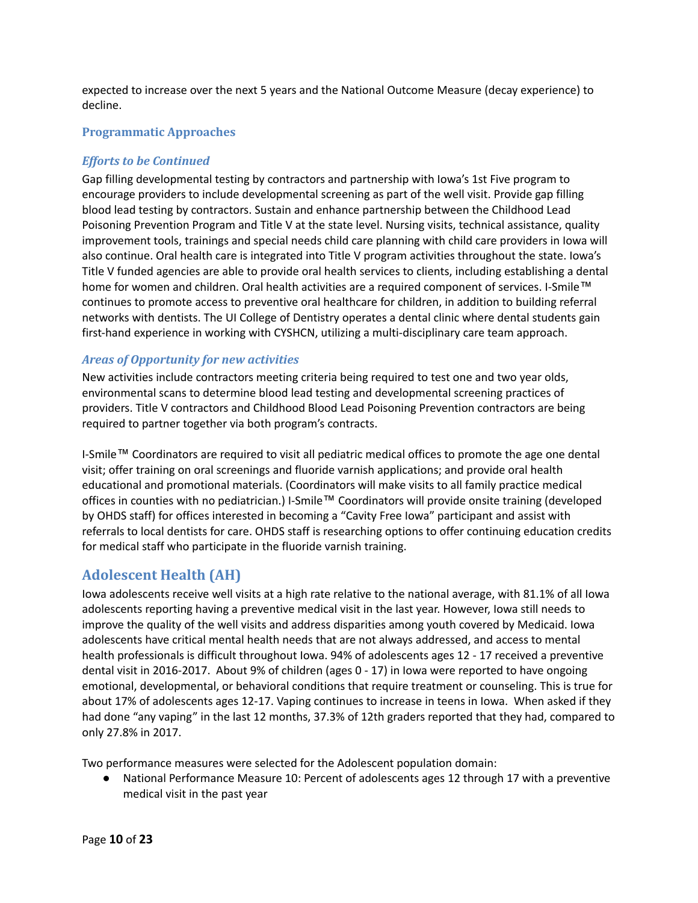expected to increase over the next 5 years and the National Outcome Measure (decay experience) to decline.

### **Programmatic Approaches**

### *Efforts to be Continued*

Gap filling developmental testing by contractors and partnership with Iowa's 1st Five program to encourage providers to include developmental screening as part of the well visit. Provide gap filling blood lead testing by contractors. Sustain and enhance partnership between the Childhood Lead Poisoning Prevention Program and Title V at the state level. Nursing visits, technical assistance, quality improvement tools, trainings and special needs child care planning with child care providers in Iowa will also continue. Oral health care is integrated into Title V program activities throughout the state. Iowa's Title V funded agencies are able to provide oral health services to clients, including establishing a dental home for women and children. Oral health activities are a required component of services. I-Smile™ continues to promote access to preventive oral healthcare for children, in addition to building referral networks with dentists. The UI College of Dentistry operates a dental clinic where dental students gain first-hand experience in working with CYSHCN, utilizing a multi-disciplinary care team approach.

### *Areas of Opportunity for new activities*

New activities include contractors meeting criteria being required to test one and two year olds, environmental scans to determine blood lead testing and developmental screening practices of providers. Title V contractors and Childhood Blood Lead Poisoning Prevention contractors are being required to partner together via both program's contracts.

I-Smile™ Coordinators are required to visit all pediatric medical offices to promote the age one dental visit; offer training on oral screenings and fluoride varnish applications; and provide oral health educational and promotional materials. (Coordinators will make visits to all family practice medical offices in counties with no pediatrician.) I-Smile™ Coordinators will provide onsite training (developed by OHDS staff) for offices interested in becoming a "Cavity Free Iowa" participant and assist with referrals to local dentists for care. OHDS staff is researching options to offer continuing education credits for medical staff who participate in the fluoride varnish training.

## **Adolescent Health (AH)**

Iowa adolescents receive well visits at a high rate relative to the national average, with 81.1% of all Iowa adolescents reporting having a preventive medical visit in the last year. However, Iowa still needs to improve the quality of the well visits and address disparities among youth covered by Medicaid. Iowa adolescents have critical mental health needs that are not always addressed, and access to mental health professionals is difficult throughout Iowa. 94% of adolescents ages 12 - 17 received a preventive dental visit in 2016-2017. About 9% of children (ages 0 - 17) in Iowa were reported to have ongoing emotional, developmental, or behavioral conditions that require treatment or counseling. This is true for about 17% of adolescents ages 12-17. Vaping continues to increase in teens in Iowa. When asked if they had done "any vaping" in the last 12 months, 37.3% of 12th graders reported that they had, compared to only 27.8% in 2017.

Two performance measures were selected for the Adolescent population domain:

● National Performance Measure 10: Percent of adolescents ages 12 through 17 with a preventive medical visit in the past year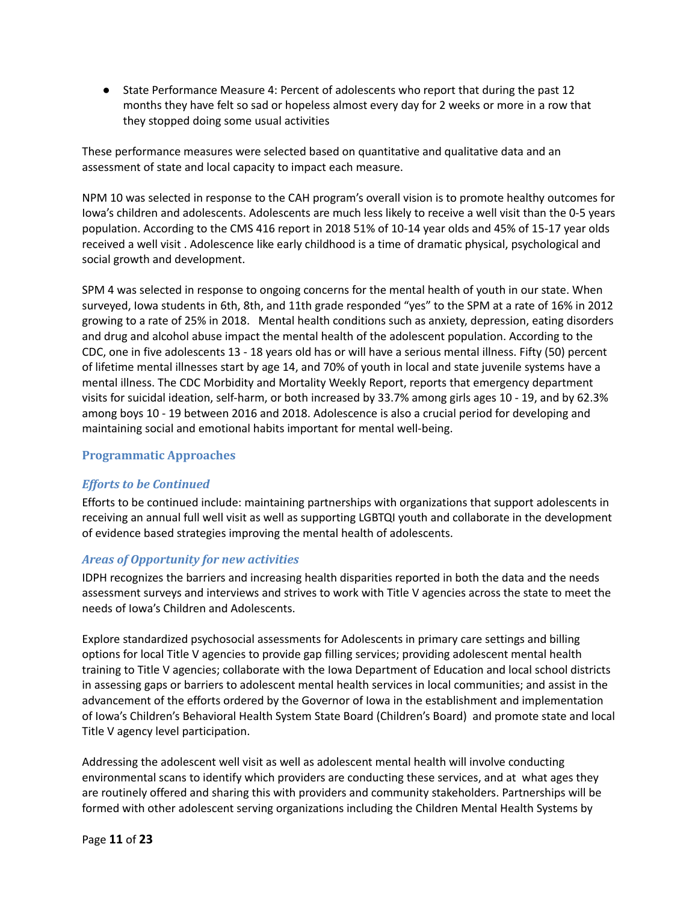● State Performance Measure 4: Percent of adolescents who report that during the past 12 months they have felt so sad or hopeless almost every day for 2 weeks or more in a row that they stopped doing some usual activities

These performance measures were selected based on quantitative and qualitative data and an assessment of state and local capacity to impact each measure.

NPM 10 was selected in response to the CAH program's overall vision is to promote healthy outcomes for Iowa's children and adolescents. Adolescents are much less likely to receive a well visit than the 0-5 years population. According to the CMS 416 report in 2018 51% of 10-14 year olds and 45% of 15-17 year olds received a well visit . Adolescence like early childhood is a time of dramatic physical, psychological and social growth and development.

SPM 4 was selected in response to ongoing concerns for the mental health of youth in our state. When surveyed, Iowa students in 6th, 8th, and 11th grade responded "yes" to the SPM at a rate of 16% in 2012 growing to a rate of 25% in 2018. Mental health conditions such as anxiety, depression, eating disorders and drug and alcohol abuse impact the mental health of the adolescent population. According to the CDC, one in five adolescents 13 - 18 years old has or will have a serious mental illness. Fifty (50) percent of lifetime mental illnesses start by age 14, and 70% of youth in local and state juvenile systems have a mental illness. The CDC Morbidity and Mortality Weekly Report, reports that emergency department visits for suicidal ideation, self-harm, or both increased by 33.7% among girls ages 10 - 19, and by 62.3% among boys 10 - 19 between 2016 and 2018. Adolescence is also a crucial period for developing and maintaining social and emotional habits important for mental well-being.

### **Programmatic Approaches**

### *Efforts to be Continued*

Efforts to be continued include: maintaining partnerships with organizations that support adolescents in receiving an annual full well visit as well as supporting LGBTQI youth and collaborate in the development of evidence based strategies improving the mental health of adolescents.

### *Areas of Opportunity for new activities*

IDPH recognizes the barriers and increasing health disparities reported in both the data and the needs assessment surveys and interviews and strives to work with Title V agencies across the state to meet the needs of Iowa's Children and Adolescents.

Explore standardized psychosocial assessments for Adolescents in primary care settings and billing options for local Title V agencies to provide gap filling services; providing adolescent mental health training to Title V agencies; collaborate with the Iowa Department of Education and local school districts in assessing gaps or barriers to adolescent mental health services in local communities; and assist in the advancement of the efforts ordered by the Governor of Iowa in the establishment and implementation of Iowa's Children's Behavioral Health System State Board (Children's Board) and promote state and local Title V agency level participation.

Addressing the adolescent well visit as well as adolescent mental health will involve conducting environmental scans to identify which providers are conducting these services, and at what ages they are routinely offered and sharing this with providers and community stakeholders. Partnerships will be formed with other adolescent serving organizations including the Children Mental Health Systems by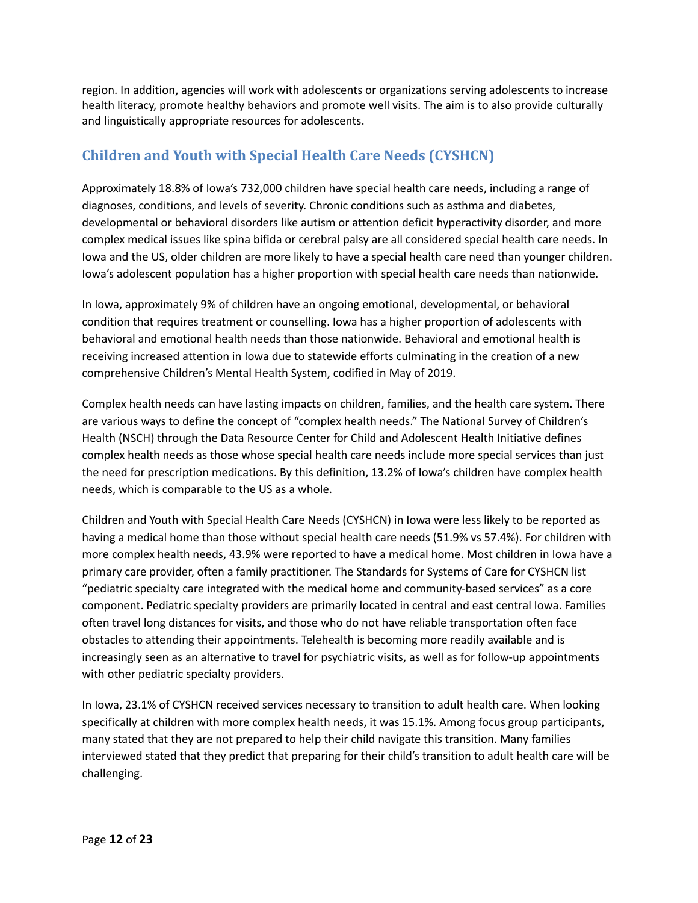region. In addition, agencies will work with adolescents or organizations serving adolescents to increase health literacy, promote healthy behaviors and promote well visits. The aim is to also provide culturally and linguistically appropriate resources for adolescents.

# **Children and Youth with Special Health Care Needs (CYSHCN)**

Approximately 18.8% of Iowa's 732,000 children have special health care needs, including a range of diagnoses, conditions, and levels of severity. Chronic conditions such as asthma and diabetes, developmental or behavioral disorders like autism or attention deficit hyperactivity disorder, and more complex medical issues like spina bifida or cerebral palsy are all considered special health care needs. In Iowa and the US, older children are more likely to have a special health care need than younger children. Iowa's adolescent population has a higher proportion with special health care needs than nationwide.

In Iowa, approximately 9% of children have an ongoing emotional, developmental, or behavioral condition that requires treatment or counselling. Iowa has a higher proportion of adolescents with behavioral and emotional health needs than those nationwide. Behavioral and emotional health is receiving increased attention in Iowa due to statewide efforts culminating in the creation of a new comprehensive Children's Mental Health System, codified in May of 2019.

Complex health needs can have lasting impacts on children, families, and the health care system. There are various ways to define the concept of "complex health needs." The National Survey of Children's Health (NSCH) through the Data Resource Center for Child and Adolescent Health Initiative defines complex health needs as those whose special health care needs include more special services than just the need for prescription medications. By this definition, 13.2% of Iowa's children have complex health needs, which is comparable to the US as a whole.

Children and Youth with Special Health Care Needs (CYSHCN) in Iowa were less likely to be reported as having a medical home than those without special health care needs (51.9% vs 57.4%). For children with more complex health needs, 43.9% were reported to have a medical home. Most children in Iowa have a primary care provider, often a family practitioner. The Standards for Systems of Care for CYSHCN list "pediatric specialty care integrated with the medical home and community-based services" as a core component. Pediatric specialty providers are primarily located in central and east central Iowa. Families often travel long distances for visits, and those who do not have reliable transportation often face obstacles to attending their appointments. Telehealth is becoming more readily available and is increasingly seen as an alternative to travel for psychiatric visits, as well as for follow-up appointments with other pediatric specialty providers.

In Iowa, 23.1% of CYSHCN received services necessary to transition to adult health care. When looking specifically at children with more complex health needs, it was 15.1%. Among focus group participants, many stated that they are not prepared to help their child navigate this transition. Many families interviewed stated that they predict that preparing for their child's transition to adult health care will be challenging.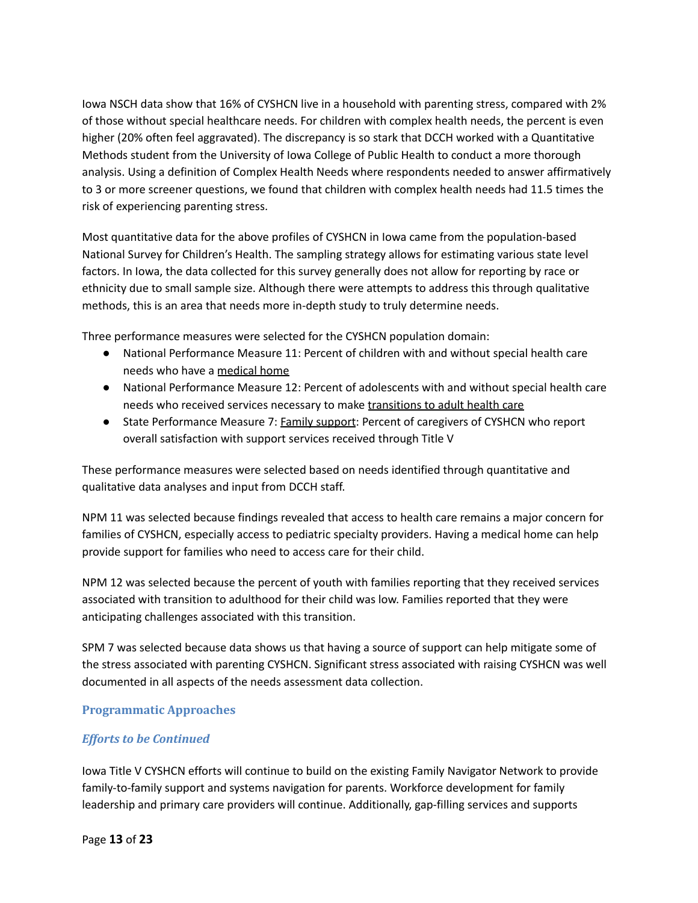Iowa NSCH data show that 16% of CYSHCN live in a household with parenting stress, compared with 2% of those without special healthcare needs. For children with complex health needs, the percent is even higher (20% often feel aggravated). The discrepancy is so stark that DCCH worked with a Quantitative Methods student from the University of Iowa College of Public Health to conduct a more thorough analysis. Using a definition of Complex Health Needs where respondents needed to answer affirmatively to 3 or more screener questions, we found that children with complex health needs had 11.5 times the risk of experiencing parenting stress.

Most quantitative data for the above profiles of CYSHCN in Iowa came from the population-based National Survey for Children's Health. The sampling strategy allows for estimating various state level factors. In Iowa, the data collected for this survey generally does not allow for reporting by race or ethnicity due to small sample size. Although there were attempts to address this through qualitative methods, this is an area that needs more in-depth study to truly determine needs.

Three performance measures were selected for the CYSHCN population domain:

- National Performance Measure 11: Percent of children with and without special health care needs who have a medical home
- National Performance Measure 12: Percent of adolescents with and without special health care needs who received services necessary to make transitions to adult health care
- State Performance Measure 7: **Family support**: Percent of caregivers of CYSHCN who report overall satisfaction with support services received through Title V

These performance measures were selected based on needs identified through quantitative and qualitative data analyses and input from DCCH staff.

NPM 11 was selected because findings revealed that access to health care remains a major concern for families of CYSHCN, especially access to pediatric specialty providers. Having a medical home can help provide support for families who need to access care for their child.

NPM 12 was selected because the percent of youth with families reporting that they received services associated with transition to adulthood for their child was low. Families reported that they were anticipating challenges associated with this transition.

SPM 7 was selected because data shows us that having a source of support can help mitigate some of the stress associated with parenting CYSHCN. Significant stress associated with raising CYSHCN was well documented in all aspects of the needs assessment data collection.

### **Programmatic Approaches**

### *Efforts to be Continued*

Iowa Title V CYSHCN efforts will continue to build on the existing Family Navigator Network to provide family-to-family support and systems navigation for parents. Workforce development for family leadership and primary care providers will continue. Additionally, gap-filling services and supports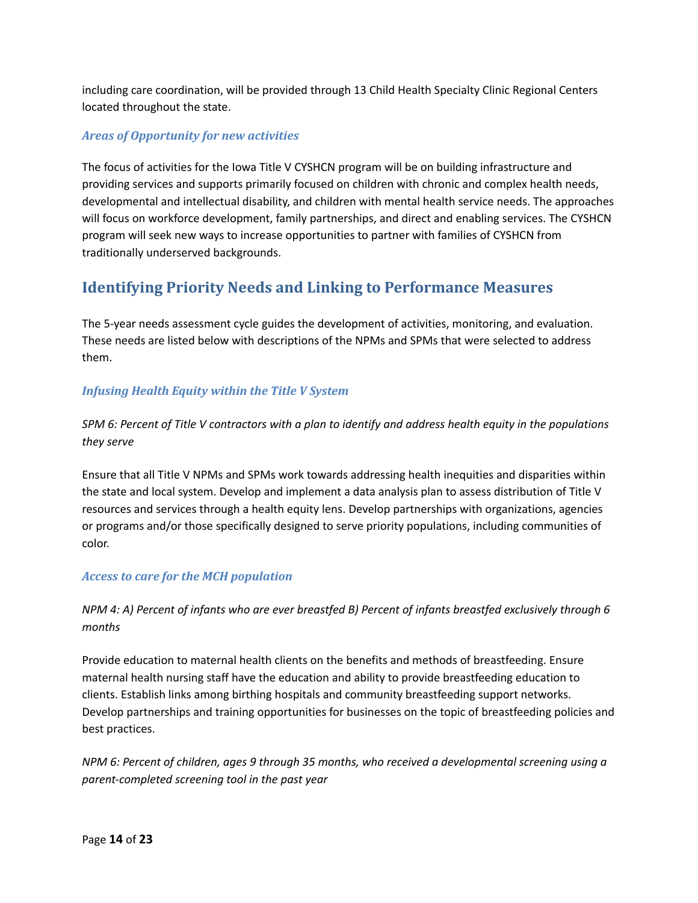including care coordination, will be provided through 13 Child Health Specialty Clinic Regional Centers located throughout the state.

## *Areas of Opportunity for new activities*

The focus of activities for the Iowa Title V CYSHCN program will be on building infrastructure and providing services and supports primarily focused on children with chronic and complex health needs, developmental and intellectual disability, and children with mental health service needs. The approaches will focus on workforce development, family partnerships, and direct and enabling services. The CYSHCN program will seek new ways to increase opportunities to partner with families of CYSHCN from traditionally underserved backgrounds.

# **Identifying Priority Needs and Linking to Performance Measures**

The 5-year needs assessment cycle guides the development of activities, monitoring, and evaluation. These needs are listed below with descriptions of the NPMs and SPMs that were selected to address them.

## *Infusing Health Equity within the Title V System*

## SPM 6: Percent of Title V contractors with a plan to identify and address health equity in the populations *they serve*

Ensure that all Title V NPMs and SPMs work towards addressing health inequities and disparities within the state and local system. Develop and implement a data analysis plan to assess distribution of Title V resources and services through a health equity lens. Develop partnerships with organizations, agencies or programs and/or those specifically designed to serve priority populations, including communities of color.

### *Access to care for the MCH population*

## NPM 4: A) Percent of infants who are ever breastfed B) Percent of infants breastfed exclusively through 6 *months*

Provide education to maternal health clients on the benefits and methods of breastfeeding. Ensure maternal health nursing staff have the education and ability to provide breastfeeding education to clients. Establish links among birthing hospitals and community breastfeeding support networks. Develop partnerships and training opportunities for businesses on the topic of breastfeeding policies and best practices.

*NPM 6: Percent of children, ages 9 through 35 months, who received a developmental screening using a parent-completed screening tool in the past year*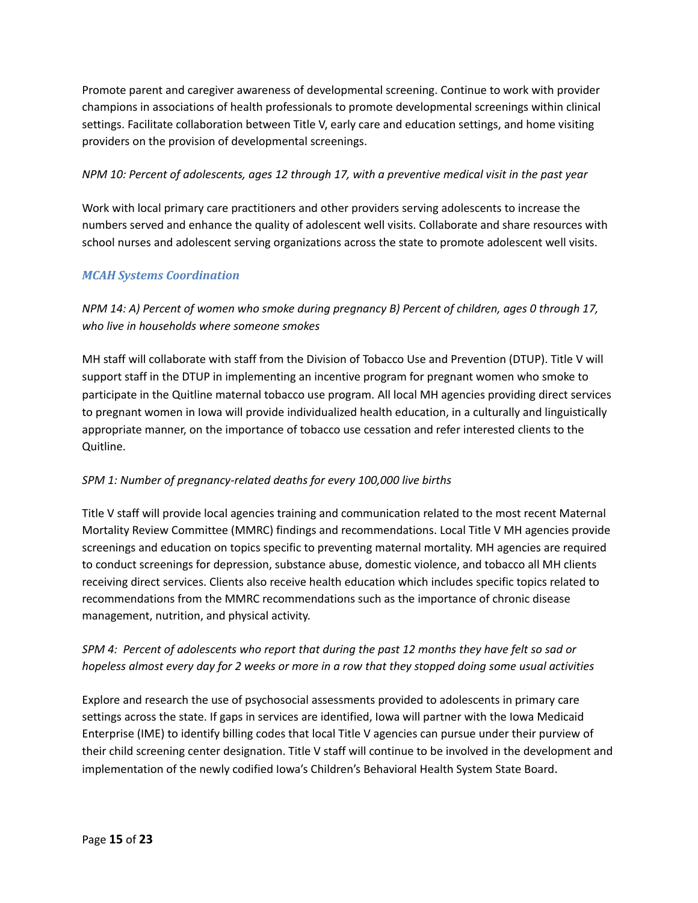Promote parent and caregiver awareness of developmental screening. Continue to work with provider champions in associations of health professionals to promote developmental screenings within clinical settings. Facilitate collaboration between Title V, early care and education settings, and home visiting providers on the provision of developmental screenings.

### NPM 10: Percent of adolescents, ages 12 through 17, with a preventive medical visit in the past year

Work with local primary care practitioners and other providers serving adolescents to increase the numbers served and enhance the quality of adolescent well visits. Collaborate and share resources with school nurses and adolescent serving organizations across the state to promote adolescent well visits.

### *MCAH Systems Coordination*

*NPM 14: A) Percent of women who smoke during pregnancy B) Percent of children, ages 0 through 17, who live in households where someone smokes*

MH staff will collaborate with staff from the Division of Tobacco Use and Prevention (DTUP). Title V will support staff in the DTUP in implementing an incentive program for pregnant women who smoke to participate in the Quitline maternal tobacco use program. All local MH agencies providing direct services to pregnant women in Iowa will provide individualized health education, in a culturally and linguistically appropriate manner, on the importance of tobacco use cessation and refer interested clients to the Quitline.

### *SPM 1: Number of pregnancy-related deaths for every 100,000 live births*

Title V staff will provide local agencies training and communication related to the most recent Maternal Mortality Review Committee (MMRC) findings and recommendations. Local Title V MH agencies provide screenings and education on topics specific to preventing maternal mortality. MH agencies are required to conduct screenings for depression, substance abuse, domestic violence, and tobacco all MH clients receiving direct services. Clients also receive health education which includes specific topics related to recommendations from the MMRC recommendations such as the importance of chronic disease management, nutrition, and physical activity.

## SPM 4: Percent of adolescents who report that during the past 12 months they have felt so sad or hopeless almost every day for 2 weeks or more in a row that they stopped doing some usual activities

Explore and research the use of psychosocial assessments provided to adolescents in primary care settings across the state. If gaps in services are identified, Iowa will partner with the Iowa Medicaid Enterprise (IME) to identify billing codes that local Title V agencies can pursue under their purview of their child screening center designation. Title V staff will continue to be involved in the development and implementation of the newly codified Iowa's Children's Behavioral Health System State Board.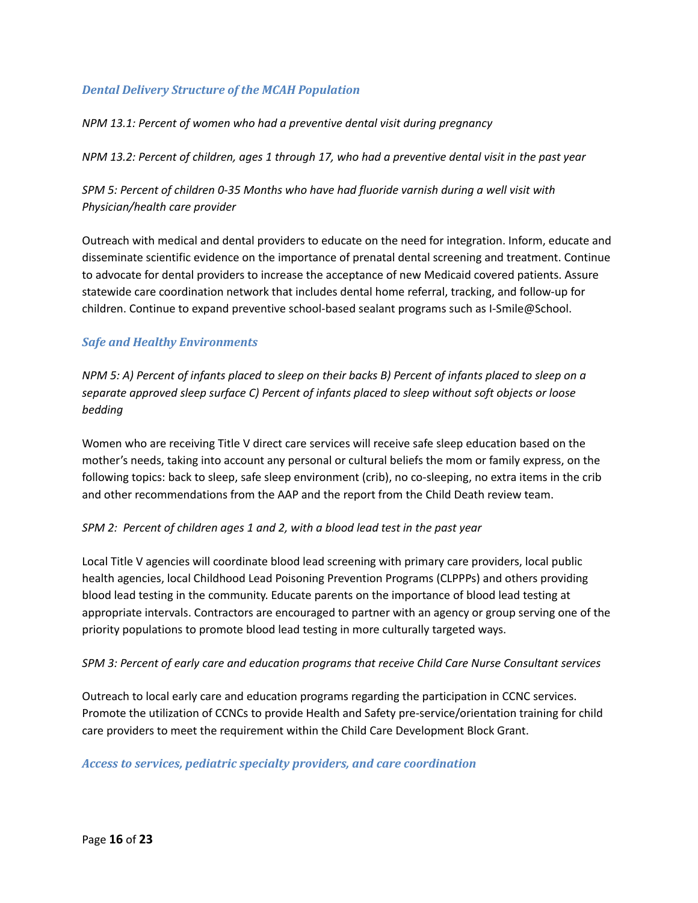### *Dental Delivery Structure of the MCAH Population*

### *NPM 13.1: Percent of women who had a preventive dental visit during pregnancy*

NPM 13.2: Percent of children, ages 1 through 17, who had a preventive dental visit in the past year

*SPM 5: Percent of children 0-35 Months who have had fluoride varnish during a well visit with Physician/health care provider*

Outreach with medical and dental providers to educate on the need for integration. Inform, educate and disseminate scientific evidence on the importance of prenatal dental screening and treatment. Continue to advocate for dental providers to increase the acceptance of new Medicaid covered patients. Assure statewide care coordination network that includes dental home referral, tracking, and follow-up for children. Continue to expand preventive school-based sealant programs such as I-Smile@School.

### *Safe and Healthy Environments*

NPM 5: A) Percent of infants placed to sleep on their backs B) Percent of infants placed to sleep on a *separate approved sleep surface C) Percent of infants placed to sleep without soft objects or loose bedding*

Women who are receiving Title V direct care services will receive safe sleep education based on the mother's needs, taking into account any personal or cultural beliefs the mom or family express, on the following topics: back to sleep, safe sleep environment (crib), no co-sleeping, no extra items in the crib and other recommendations from the AAP and the report from the Child Death review team.

### *SPM 2: Percent of children ages 1 and 2, with a blood lead test in the past year*

Local Title V agencies will coordinate blood lead screening with primary care providers, local public health agencies, local Childhood Lead Poisoning Prevention Programs (CLPPPs) and others providing blood lead testing in the community. Educate parents on the importance of blood lead testing at appropriate intervals. Contractors are encouraged to partner with an agency or group serving one of the priority populations to promote blood lead testing in more culturally targeted ways.

### *SPM 3: Percent of early care and education programs that receive Child Care Nurse Consultant services*

Outreach to local early care and education programs regarding the participation in CCNC services. Promote the utilization of CCNCs to provide Health and Safety pre-service/orientation training for child care providers to meet the requirement within the Child Care Development Block Grant.

### *Access to services, pediatric specialty providers, and care coordination*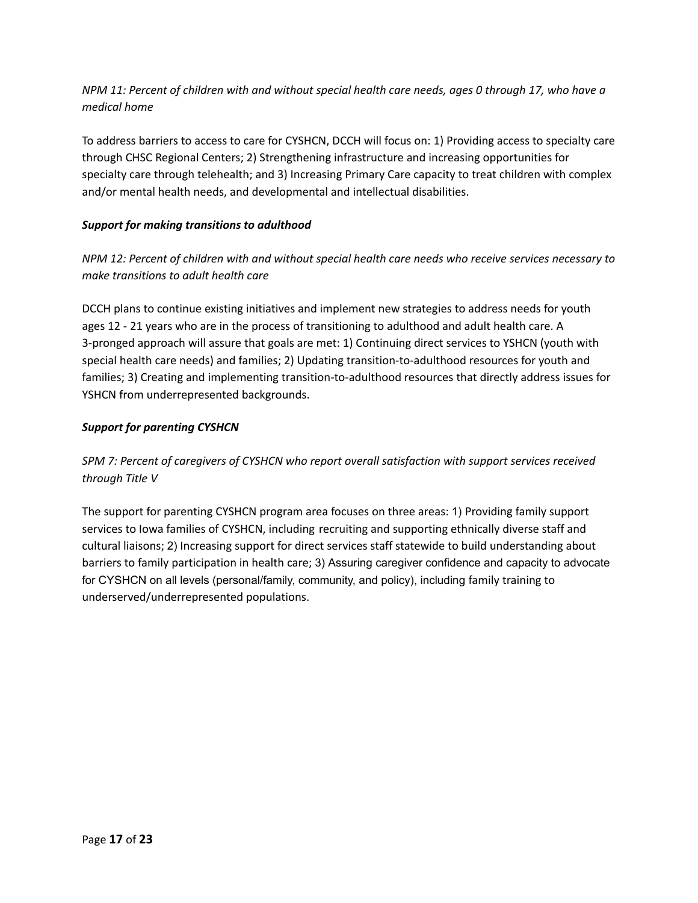NPM 11: Percent of children with and without special health care needs, ages 0 through 17, who have a *medical home*

To address barriers to access to care for CYSHCN, DCCH will focus on: 1) Providing access to specialty care through CHSC Regional Centers; 2) Strengthening infrastructure and increasing opportunities for specialty care through telehealth; and 3) Increasing Primary Care capacity to treat children with complex and/or mental health needs, and developmental and intellectual disabilities.

### *Support for making transitions to adulthood*

*NPM 12: Percent of children with and without special health care needs who receive services necessary to make transitions to adult health care*

DCCH plans to continue existing initiatives and implement new strategies to address needs for youth ages 12 - 21 years who are in the process of transitioning to adulthood and adult health care. A 3-pronged approach will assure that goals are met: 1) Continuing direct services to YSHCN (youth with special health care needs) and families; 2) Updating transition-to-adulthood resources for youth and families; 3) Creating and implementing transition-to-adulthood resources that directly address issues for YSHCN from underrepresented backgrounds.

### *Support for parenting CYSHCN*

*SPM 7: Percent of caregivers of CYSHCN who report overall satisfaction with support services received through Title V*

The support for parenting CYSHCN program area focuses on three areas: 1) Providing family support services to Iowa families of CYSHCN, including recruiting and supporting ethnically diverse staff and cultural liaisons; 2) Increasing support for direct services staff statewide to build understanding about barriers to family participation in health care; 3) Assuring caregiver confidence and capacity to advocate for CYSHCN on all levels (personal/family, community, and policy), including family training to underserved/underrepresented populations.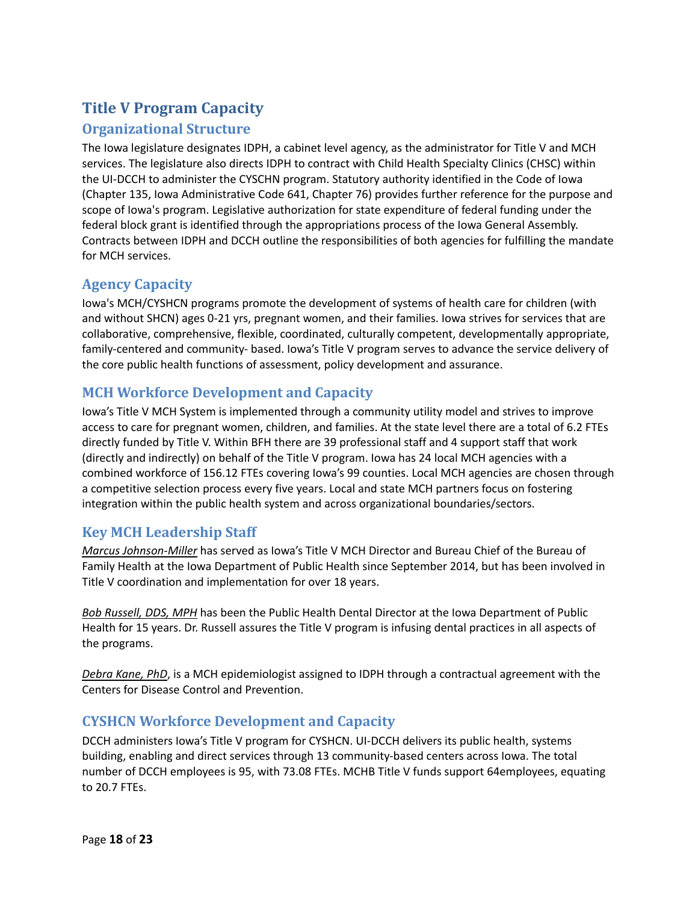# **Title V Program Capacity**

# **Organizational Structure**

The Iowa legislature designates IDPH, a cabinet level agency, as the administrator for Title V and MCH services. The legislature also directs IDPH to contract with Child Health Specialty Clinics (CHSC) within the UI-DCCH to administer the CYSCHN program. Statutory authority identified in the Code of Iowa (Chapter 135, Iowa Administrative Code 641, Chapter 76) provides further reference for the purpose and scope of Iowa's program. Legislative authorization for state expenditure of federal funding under the federal block grant is identified through the appropriations process of the Iowa General Assembly. Contracts between IDPH and DCCH outline the responsibilities of both agencies for fulfilling the mandate for MCH services.

# **Agency Capacity**

Iowa's MCH/CYSHCN programs promote the development of systems of health care for children (with and without SHCN) ages 0-21 yrs, pregnant women, and their families. Iowa strives for services that are collaborative, comprehensive, flexible, coordinated, culturally competent, developmentally appropriate, family-centered and community- based. Iowa's Title V program serves to advance the service delivery of the core public health functions of assessment, policy development and assurance.

# **MCH Workforce Development and Capacity**

Iowa's Title V MCH System is implemented through a community utility model and strives to improve access to care for pregnant women, children, and families. At the state level there are a total of 6.2 FTEs directly funded by Title V. Within BFH there are 39 professional staff and 4 support staff that work (directly and indirectly) on behalf of the Title V program. Iowa has 24 local MCH agencies with a combined workforce of 156.12 FTEs covering Iowa's 99 counties. Local MCH agencies are chosen through a competitive selection process every five years. Local and state MCH partners focus on fostering integration within the public health system and across organizational boundaries/sectors.

# **Key MCH Leadership Staff**

*Marcus Johnson-Miller* has served as Iowa's Title V MCH Director and Bureau Chief of the Bureau of Family Health at the Iowa Department of Public Health since September 2014, but has been involved in Title V coordination and implementation for over 18 years.

*Bob Russell, DDS, MPH* has been the Public Health Dental Director at the Iowa Department of Public Health for 15 years. Dr. Russell assures the Title V program is infusing dental practices in all aspects of the programs.

*Debra Kane, PhD*, is a MCH epidemiologist assigned to IDPH through a contractual agreement with the Centers for Disease Control and Prevention.

# **CYSHCN Workforce Development and Capacity**

DCCH administers Iowa's Title V program for CYSHCN. UI-DCCH delivers its public health, systems building, enabling and direct services through 13 community-based centers across Iowa. The total number of DCCH employees is 95, with 73.08 FTEs. MCHB Title V funds support 64employees, equating to 20.7 FTEs.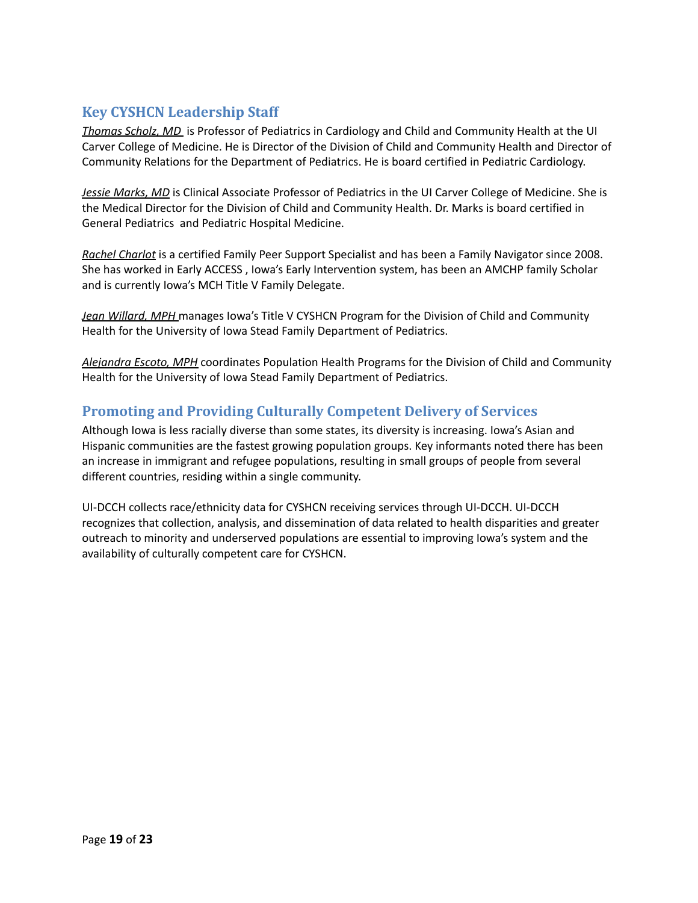# **Key CYSHCN Leadership Staff**

*Thomas Scholz, MD* is Professor of Pediatrics in Cardiology and Child and Community Health at the UI Carver College of Medicine. He is Director of the Division of Child and Community Health and Director of Community Relations for the Department of Pediatrics. He is board certified in Pediatric Cardiology.

*Jessie Marks, MD* is Clinical Associate Professor of Pediatrics in the UI Carver College of Medicine. She is the Medical Director for the Division of Child and Community Health. Dr. Marks is board certified in General Pediatrics and Pediatric Hospital Medicine.

*Rachel Charlot* is a certified Family Peer Support Specialist and has been a Family Navigator since 2008. She has worked in Early ACCESS , Iowa's Early Intervention system, has been an AMCHP family Scholar and is currently Iowa's MCH Title V Family Delegate.

*Jean Willard, MPH* manages Iowa's Title V CYSHCN Program for the Division of Child and Community Health for the University of Iowa Stead Family Department of Pediatrics.

*Alejandra Escoto, MPH* coordinates Population Health Programs for the Division of Child and Community Health for the University of Iowa Stead Family Department of Pediatrics.

## **Promoting and Providing Culturally Competent Delivery of Services**

Although Iowa is less racially diverse than some states, its diversity is increasing. Iowa's Asian and Hispanic communities are the fastest growing population groups. Key informants noted there has been an increase in immigrant and refugee populations, resulting in small groups of people from several different countries, residing within a single community.

UI-DCCH collects race/ethnicity data for CYSHCN receiving services through UI-DCCH. UI-DCCH recognizes that collection, analysis, and dissemination of data related to health disparities and greater outreach to minority and underserved populations are essential to improving Iowa's system and the availability of culturally competent care for CYSHCN.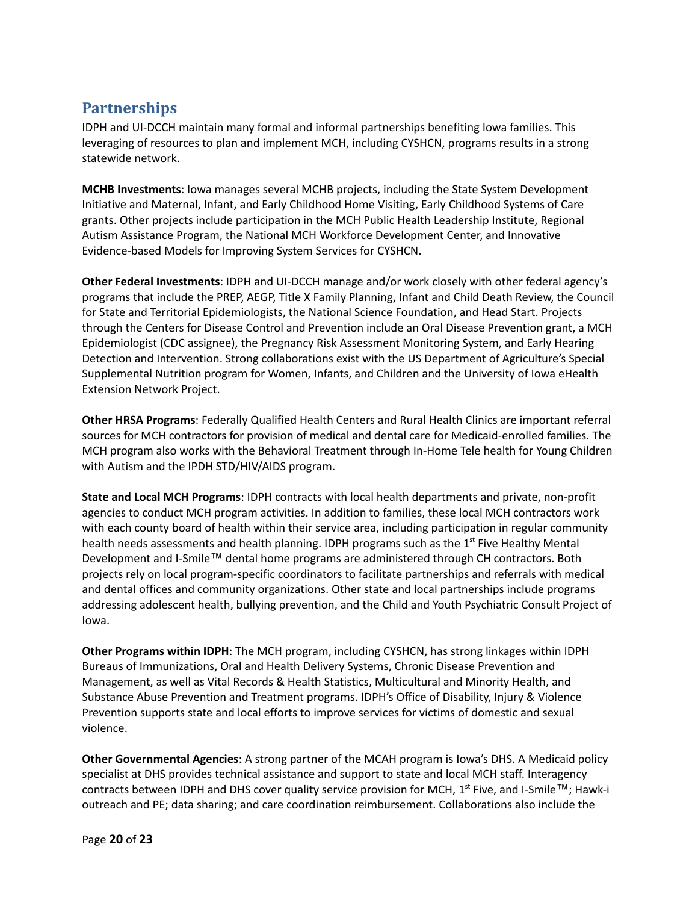# **Partnerships**

IDPH and UI-DCCH maintain many formal and informal partnerships benefiting Iowa families. This leveraging of resources to plan and implement MCH, including CYSHCN, programs results in a strong statewide network.

**MCHB Investments**: Iowa manages several MCHB projects, including the State System Development Initiative and Maternal, Infant, and Early Childhood Home Visiting, Early Childhood Systems of Care grants. Other projects include participation in the MCH Public Health Leadership Institute, Regional Autism Assistance Program, the National MCH Workforce Development Center, and Innovative Evidence-based Models for Improving System Services for CYSHCN.

**Other Federal Investments**: IDPH and UI-DCCH manage and/or work closely with other federal agency's programs that include the PREP, AEGP, Title X Family Planning, Infant and Child Death Review, the Council for State and Territorial Epidemiologists, the National Science Foundation, and Head Start. Projects through the Centers for Disease Control and Prevention include an Oral Disease Prevention grant, a MCH Epidemiologist (CDC assignee), the Pregnancy Risk Assessment Monitoring System, and Early Hearing Detection and Intervention. Strong collaborations exist with the US Department of Agriculture's Special Supplemental Nutrition program for Women, Infants, and Children and the University of Iowa eHealth Extension Network Project.

**Other HRSA Programs**: Federally Qualified Health Centers and Rural Health Clinics are important referral sources for MCH contractors for provision of medical and dental care for Medicaid-enrolled families. The MCH program also works with the Behavioral Treatment through In-Home Tele health for Young Children with Autism and the IPDH STD/HIV/AIDS program.

**State and Local MCH Programs**: IDPH contracts with local health departments and private, non-profit agencies to conduct MCH program activities. In addition to families, these local MCH contractors work with each county board of health within their service area, including participation in regular community health needs assessments and health planning. IDPH programs such as the 1<sup>st</sup> Five Healthy Mental Development and I-Smile™ dental home programs are administered through CH contractors. Both projects rely on local program-specific coordinators to facilitate partnerships and referrals with medical and dental offices and community organizations. Other state and local partnerships include programs addressing adolescent health, bullying prevention, and the Child and Youth Psychiatric Consult Project of Iowa.

**Other Programs within IDPH**: The MCH program, including CYSHCN, has strong linkages within IDPH Bureaus of Immunizations, Oral and Health Delivery Systems, Chronic Disease Prevention and Management, as well as Vital Records & Health Statistics, Multicultural and Minority Health, and Substance Abuse Prevention and Treatment programs. IDPH's Office of Disability, Injury & Violence Prevention supports state and local efforts to improve services for victims of domestic and sexual violence.

**Other Governmental Agencies**: A strong partner of the MCAH program is Iowa's DHS. A Medicaid policy specialist at DHS provides technical assistance and support to state and local MCH staff. Interagency contracts between IDPH and DHS cover quality service provision for MCH,  $1<sup>st</sup>$  Five, and I-Smile<sup>TM</sup>; Hawk-i outreach and PE; data sharing; and care coordination reimbursement. Collaborations also include the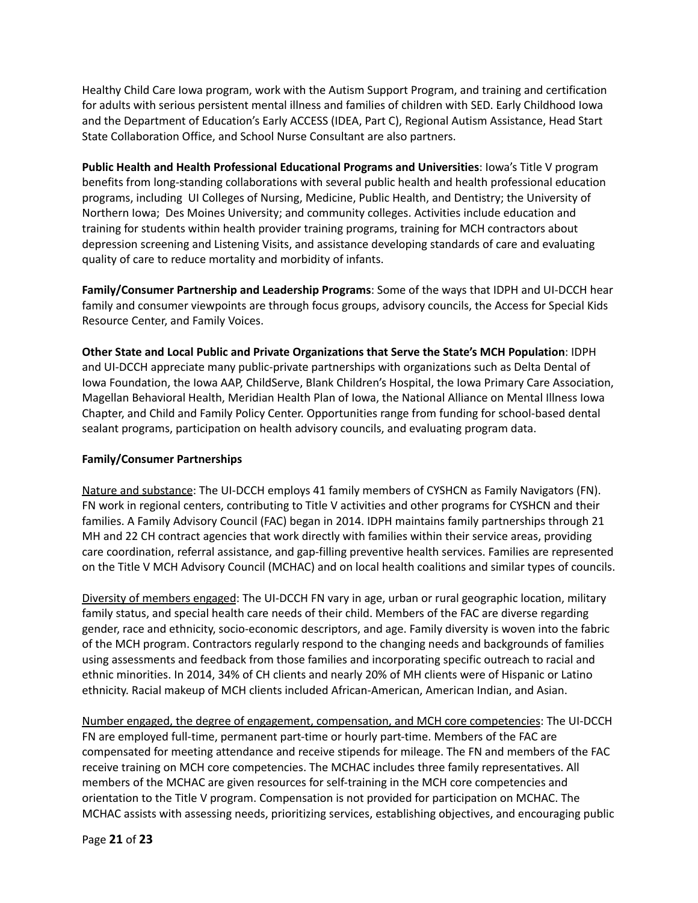Healthy Child Care Iowa program, work with the Autism Support Program, and training and certification for adults with serious persistent mental illness and families of children with SED. Early Childhood Iowa and the Department of Education's Early ACCESS (IDEA, Part C), Regional Autism Assistance, Head Start State Collaboration Office, and School Nurse Consultant are also partners.

**Public Health and Health Professional Educational Programs and Universities**: Iowa's Title V program benefits from long-standing collaborations with several public health and health professional education programs, including UI Colleges of Nursing, Medicine, Public Health, and Dentistry; the University of Northern Iowa; Des Moines University; and community colleges. Activities include education and training for students within health provider training programs, training for MCH contractors about depression screening and Listening Visits, and assistance developing standards of care and evaluating quality of care to reduce mortality and morbidity of infants.

**Family/Consumer Partnership and Leadership Programs**: Some of the ways that IDPH and UI-DCCH hear family and consumer viewpoints are through focus groups, advisory councils, the Access for Special Kids Resource Center, and Family Voices.

**Other State and Local Public and Private Organizations that Serve the State's MCH Population**: IDPH and UI-DCCH appreciate many public-private partnerships with organizations such as Delta Dental of Iowa Foundation, the Iowa AAP, ChildServe, Blank Children's Hospital, the Iowa Primary Care Association, Magellan Behavioral Health, Meridian Health Plan of Iowa, the National Alliance on Mental Illness Iowa Chapter, and Child and Family Policy Center. Opportunities range from funding for school-based dental sealant programs, participation on health advisory councils, and evaluating program data.

### **Family/Consumer Partnerships**

Nature and substance: The UI-DCCH employs 41 family members of CYSHCN as Family Navigators (FN). FN work in regional centers, contributing to Title V activities and other programs for CYSHCN and their families. A Family Advisory Council (FAC) began in 2014. IDPH maintains family partnerships through 21 MH and 22 CH contract agencies that work directly with families within their service areas, providing care coordination, referral assistance, and gap-filling preventive health services. Families are represented on the Title V MCH Advisory Council (MCHAC) and on local health coalitions and similar types of councils.

Diversity of members engaged: The UI-DCCH FN vary in age, urban or rural geographic location, military family status, and special health care needs of their child. Members of the FAC are diverse regarding gender, race and ethnicity, socio-economic descriptors, and age. Family diversity is woven into the fabric of the MCH program. Contractors regularly respond to the changing needs and backgrounds of families using assessments and feedback from those families and incorporating specific outreach to racial and ethnic minorities. In 2014, 34% of CH clients and nearly 20% of MH clients were of Hispanic or Latino ethnicity. Racial makeup of MCH clients included African-American, American Indian, and Asian.

Number engaged, the degree of engagement, compensation, and MCH core competencies: The UI-DCCH FN are employed full-time, permanent part-time or hourly part-time. Members of the FAC are compensated for meeting attendance and receive stipends for mileage. The FN and members of the FAC receive training on MCH core competencies. The MCHAC includes three family representatives. All members of the MCHAC are given resources for self-training in the MCH core competencies and orientation to the Title V program. Compensation is not provided for participation on MCHAC. The MCHAC assists with assessing needs, prioritizing services, establishing objectives, and encouraging public

Page **21** of **23**